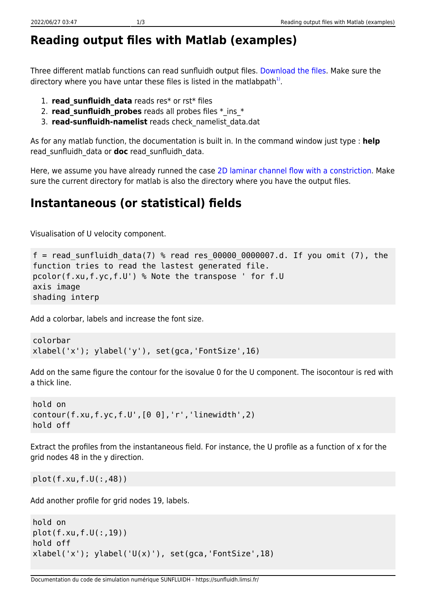## **Reading output files with Matlab (examples)**

Three different matlab functions can read sunfluidh output files. [Download the files.](https://sunfluidh.limsi.fr/_media/sunfluidh:matlabforsunfluidh.tar) Make sure the directory where you have untar these files is listed in the matlabpath $^{1)}$  $^{1)}$  $^{1)}$ .

- 1. **read\_sunfluidh\_data** reads res\* or rst\* files
- 2. **read sunfluidh probes** reads all probes files  $*$  ins  $*$
- 3. **read-sunfluidh-namelist** reads check\_namelist\_data.dat

As for any matlab function, the documentation is built in. In the command window just type : **help** read\_sunfluidh\_data or **doc** read\_sunfluidh\_data.

Here, we assume you have already runned the case [2D laminar channel flow with a constriction](https://sunfluidh.limsi.fr/sunfluidh:2d_channel_flow_with_bar_incomp_flow). Make sure the current directory for matlab is also the directory where you have the output files.

## **Instantaneous (or statistical) fields**

Visualisation of U velocity component.

```
f = read sunfluidh data(7) % read res 00000 0000007.d. If you omit (7), the
function tries to read the lastest generated file.
pcolor(f.xu,f.yc,f.U') % Note the transpose ' for f.U
axis image
shading interp
```
Add a colorbar, labels and increase the font size.

```
colorbar
xlabel('x'); ylabel('y'), set(gca,'FontSize',16)
```
Add on the same figure the contour for the isovalue 0 for the U component. The isocontour is red with a thick line.

```
hold on
contour(f.xu,f.yc,f.U',[0 0],'r','linewidth',2)
hold off
```
Extract the profiles from the instantaneous field. For instance, the U profile as a function of x for the grid nodes 48 in the y direction.

plot(f.xu,f.U(:,48))

Add another profile for grid nodes 19, labels.

```
hold on
plot(f.xu,f.U(:,19))
hold off
xlabel('x'); ylabel('U(x)');\ set(gca,'FontSize',18)
```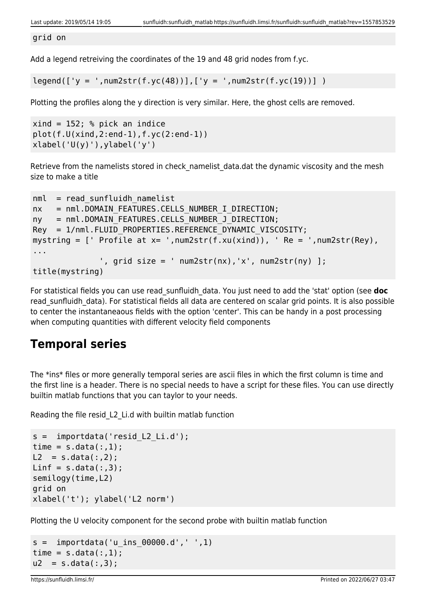grid on

Add a legend retreiving the coordinates of the 19 and 48 grid nodes from f.yc.

 $legend([y = ',num2str(f.yc(48))], ['y = ',num2str(f.yc(19))])$ 

Plotting the profiles along the y direction is very similar. Here, the ghost cells are removed.

```
xind = 152; % pick an indice
plot(f.U(xind,2:end-1),f.yc(2:end-1))
xlabel('U(y)'), ylabel('y')
```
Retrieve from the namelists stored in check namelist data.dat the dynamic viscosity and the mesh size to make a title

```
nml = read sunfluidh namelistnx = nml.DOMAIN FEATURES.CELLS NUMBER I DIRECTION;
ny = nml.DOMAIN FEATURES.CELLS NUMBER J DIRECTION;
Rey = 1/nml.FLUID PROPERTIES.REFERENCE DYNAMIC VISCOSITY;
mystring = [ Profile at x= ', num2str(f.xu(xind)), \prime Re = \prime, num2str(Rey),
...
              ', grid size = ' num2str(nx), 'x', num2str(ny) ];
title(mystring)
```
For statistical fields you can use read\_sunfluidh\_data. You just need to add the 'stat' option (see **doc** read sunfluidh data). For statistical fields all data are centered on scalar grid points. It is also possible to center the instantaneaous fields with the option 'center'. This can be handy in a post processing when computing quantities with different velocity field components

## **Temporal series**

The \*ins\* files or more generally temporal series are ascii files in which the first column is time and the first line is a header. There is no special needs to have a script for these files. You can use directly builtin matlab functions that you can taylor to your needs.

Reading the file resid\_L2\_Li.d with builtin matlab function

```
s = importdata('resid_L2_Li.d');
time = s.data(:, 1);L2 = s.data(:,2);Linf = s.data(:,3);semilogy(time,L2)
grid on
xlabel('t'); ylabel('L2 norm')
```
Plotting the U velocity component for the second probe with builtin matlab function

```
s = importdata('u ins 00000.d', ' ', 1)time = s.data(:, 1);u2 = s.data(:,3);
```